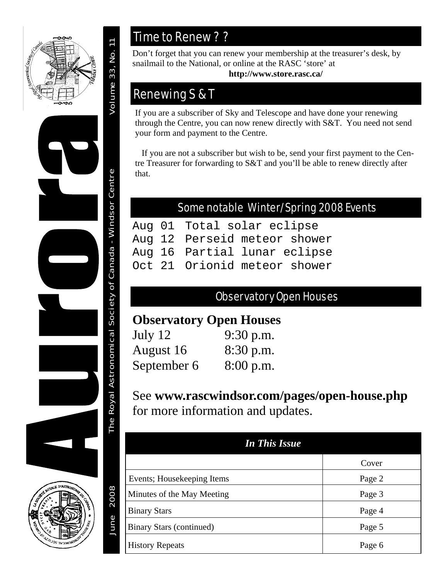



2008

June

## Time to Renew ? ?

Don't forget that you can renew your membership at the treasurer's desk, by snailmail to the National, or online at the RASC 'store' at

**http://www.store.rasc.ca/**

## Renewing S & T

If you are a subscriber of Sky and Telescope and have done your renewing through the Centre, you can now renew directly with S&T. You need not send your form and payment to the Centre.

 If you are not a subscriber but wish to be, send your first payment to the Centre Treasurer for forwarding to S&T and you'll be able to renew directly after that.

### Some notable Winter/Spring 2008 Events

```
Aug 01 Total solar eclipse 
Aug 12 Perseid meteor shower 
Aug 16 Partial lunar eclipse 
Oct 21 Orionid meteor shower
```
## Observatory Open Houses

## **Observatory Open Houses**

| July $12$   | $9:30$ p.m. |
|-------------|-------------|
| August 16   | 8:30 p.m.   |
| September 6 | 8:00 p.m.   |

See **www.rascwindsor.com/pages/open-house.php** for more information and updates.

| <b>In This Issue</b>       |        |
|----------------------------|--------|
|                            | Cover  |
| Events; Housekeeping Items | Page 2 |
| Minutes of the May Meeting | Page 3 |
| <b>Binary Stars</b>        | Page 4 |
| Binary Stars (continued)   | Page 5 |
| <b>History Repeats</b>     | Page 6 |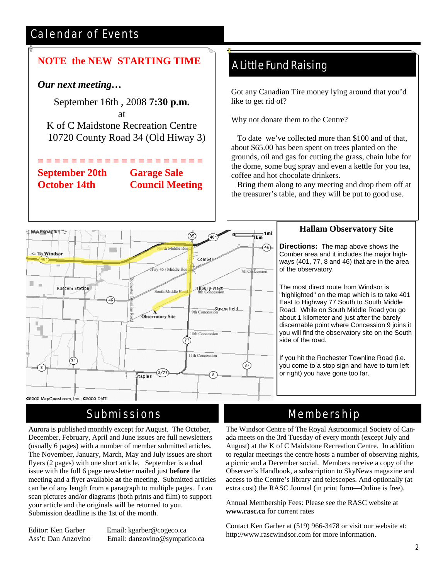## Calendar of Events

## **NOTE the NEW STARTING TIME**

### *Our next meeting…*

September 16th , 2008 **7:30 p.m.** at K of C Maidstone Recreation Centre 10720 County Road 34 (Old Hiway 3)

**September 20th Garage Sale** 

**= = = = = = = = = = = = = = = = = = = = October 14th Council Meeting** 

### A Little Fund Raising

Got any Canadian Tire money lying around that you'd like to get rid of?

Why not donate them to the Centre?

 To date we've collected more than \$100 and of that, about \$65.00 has been spent on trees planted on the grounds, oil and gas for cutting the grass, chain lube for the dome, some bug spray and even a kettle for you tea, coffee and hot chocolate drinkers.

 Bring them along to any meeting and drop them off at the treasurer's table, and they will be put to good use.



### Submissions

Aurora is published monthly except for August. The October, December, February, April and June issues are full newsletters (usually 6 pages) with a number of member submitted articles. The November, January, March, May and July issues are short flyers (2 pages) with one short article. September is a dual issue with the full 6 page newsletter mailed just **before** the meeting and a flyer available **at** the meeting. Submitted articles can be of any length from a paragraph to multiple pages. I can scan pictures and/or diagrams (both prints and film) to support your article and the originals will be returned to you. Submission deadline is the 1st of the month.

Editor: Ken Garber Email: kgarber@cogeco.ca Ass't: Dan Anzovino Email: danzovino@sympatico.ca

#### **Hallam Observatory Site**

**Directions:** The map above shows the Comber area and it includes the major highways (401, 77, 8 and 46) that are in the area of the observatory.

The most direct route from Windsor is "highlighted" on the map which is to take 401 East to Highway 77 South to South Middle Road. While on South Middle Road you go about 1 kilometer and just after the barely discernable point where Concession 9 joins it you will find the observatory site on the South side of the road.

If you hit the Rochester Townline Road (i.e. you come to a stop sign and have to turn left or right) you have gone too far.

### Membership

The Windsor Centre of The Royal Astronomical Society of Canada meets on the 3rd Tuesday of every month (except July and August) at the K of C Maidstone Recreation Centre. In addition to regular meetings the centre hosts a number of observing nights, a picnic and a December social. Members receive a copy of the Observer's Handbook, a subscription to SkyNews magazine and access to the Centre's library and telescopes. And optionally (at extra cost) the RASC Journal (in print form—Online is free).

Annual Membership Fees: Please see the RASC website at **www.rasc.ca** for current rates

Contact Ken Garber at (519) 966-3478 or visit our website at: http://www.rascwindsor.com for more information.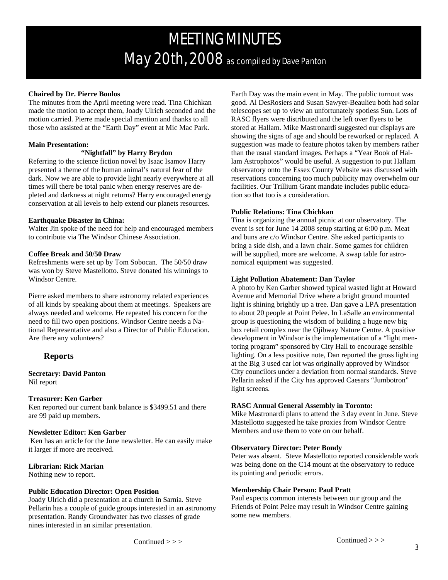# MEETING MINUTES May 20th, 2008 as compiled by Dave Panton

#### **Chaired by Dr. Pierre Boulos**

The minutes from the April meeting were read. Tina Chichkan made the motion to accept them, Joady Ulrich seconded and the motion carried. Pierre made special mention and thanks to all those who assisted at the "Earth Day" event at Mic Mac Park.

#### **Main Presentation:**

#### **"Nightfall" by Harry Brydon**

Referring to the science fiction novel by Isaac Isamov Harry presented a theme of the human animal's natural fear of the dark. Now we are able to provide light nearly everywhere at all times will there be total panic when energy reserves are depleted and darkness at night returns? Harry encouraged energy conservation at all levels to help extend our planets resources.

#### **Earthquake Disaster in China:**

Walter Jin spoke of the need for help and encouraged members to contribute via The Windsor Chinese Association.

#### **Coffee Break and 50/50 Draw**

Refreshments were set up by Tom Sobocan. The 50/50 draw was won by Steve Mastellotto. Steve donated his winnings to Windsor Centre.

Pierre asked members to share astronomy related experiences of all kinds by speaking about them at meetings. Speakers are always needed and welcome. He repeated his concern for the need to fill two open positions. Windsor Centre needs a National Representative and also a Director of Public Education. Are there any volunteers?

#### **Reports**

**Secretary: David Panton**  Nil report

#### **Treasurer: Ken Garber**

Ken reported our current bank balance is \$3499.51 and there are 99 paid up members.

#### **Newsletter Editor: Ken Garber**

 Ken has an article for the June newsletter. He can easily make it larger if more are received.

#### **Librarian: Rick Marian**

Nothing new to report.

#### **Public Education Director: Open Position**

Joady Ulrich did a presentation at a church in Sarnia. Steve Pellarin has a couple of guide groups interested in an astronomy presentation. Randy Groundwater has two classes of grade nines interested in an similar presentation.

Earth Day was the main event in May. The public turnout was good. Al DesRosiers and Susan Sawyer-Beaulieu both had solar telescopes set up to view an unfortunately spotless Sun. Lots of RASC flyers were distributed and the left over flyers to be stored at Hallam. Mike Mastronardi suggested our displays are showing the signs of age and should be reworked or replaced. A suggestion was made to feature photos taken by members rather than the usual standard images. Perhaps a "Year Book of Hallam Astrophotos" would be useful. A suggestion to put Hallam observatory onto the Essex County Website was discussed with reservations concerning too much publicity may overwhelm our facilities. Our Trillium Grant mandate includes public education so that too is a consideration.

#### **Public Relations: Tina Chichkan**

Tina is organizing the annual picnic at our observatory. The event is set for June 14 2008 setup starting at 6:00 p.m. Meat and buns are c/o Windsor Centre. She asked participants to bring a side dish, and a lawn chair. Some games for children will be supplied, more are welcome. A swap table for astronomical equipment was suggested.

#### **Light Pollution Abatement: Dan Taylor**

A photo by Ken Garber showed typical wasted light at Howard Avenue and Memorial Drive where a bright ground mounted light is shining brightly up a tree. Dan gave a LPA presentation to about 20 people at Point Pelee. In LaSalle an environmental group is questioning the wisdom of building a huge new big box retail complex near the Ojibway Nature Centre. A positive development in Windsor is the implementation of a "light mentoring program" sponsored by City Hall to encourage sensible lighting. On a less positive note, Dan reported the gross lighting at the Big 3 used car lot was originally approved by Windsor City councilors under a deviation from normal standards. Steve Pellarin asked if the City has approved Caesars "Jumbotron" light screens.

#### **RASC Annual General Assembly in Toronto:**

Mike Mastronardi plans to attend the 3 day event in June. Steve Mastellotto suggested he take proxies from Windsor Centre Members and use them to vote on our behalf.

#### **Observatory Director: Peter Bondy**

Peter was absent. Steve Mastellotto reported considerable work was being done on the C14 mount at the observatory to reduce its pointing and periodic errors.

#### **Membership Chair Person: Paul Pratt**

Paul expects common interests between our group and the Friends of Point Pelee may result in Windsor Centre gaining some new members.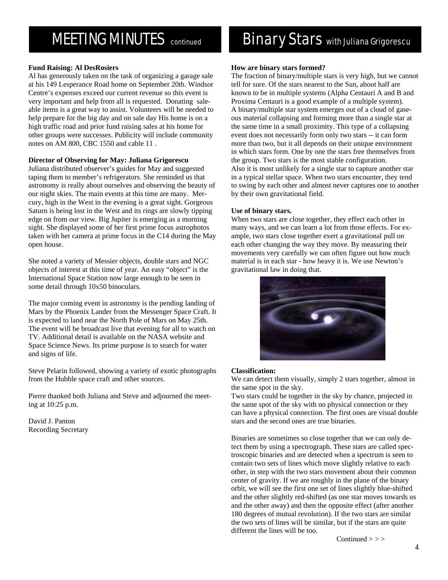## **MEETING MINUTES** continued

#### **Fund Raising: Al DesRosiers**

Al has generously taken on the task of organizing a garage sale at his 149 Lesperance Road home on September 20th. Windsor Centre's expenses exceed our current revenue so this event is very important and help from all is requested. Donating saleable items is a great way to assist. Volunteers will be needed to help prepare for the big day and on sale day His home is on a high traffic road and prior fund raising sales at his home for other groups were successes. Publicity will include community notes on AM 800, CBC 1550 and cable 11 .

#### **Director of Observing for May: Juliana Grigorescu**

Juliana distributed observer's guides for May and suggested taping them to member's refrigerators. She reminded us that astronomy is really about ourselves and observing the beauty of our night skies. The main events at this time are many. Mercury, high in the West in the evening is a great sight. Gorgeous Saturn is being lost in the West and its rings are slowly tipping edge on from our view. Big Jupiter is emerging as a morning sight. She displayed some of her first prime focus astrophotos taken with her camera at prime focus in the C14 during the May open house.

She noted a variety of Messier objects, double stars and NGC objects of interest at this time of year. An easy "object" is the International Space Station now large enough to be seen in some detail through 10x50 binoculars.

The major coming event in astronomy is the pending landing of Mars by the Phoenix Lander from the Messenger Space Craft. It is expected to land near the North Pole of Mars on May 25th. The event will be broadcast live that evening for all to watch on TV. Additional detail is available on the NASA website and Space Science News. Its prime purpose is to search for water and signs of life.

Steve Pelarin followed, showing a variety of exotic photographs from the Hubble space craft and other sources.

Pierre thanked both Juliana and Steve and adjourned the meeting at 10:25 p.m.

David J. Panton Recording Secretary

## **Binary Stars with Juliana Grigorescu**

#### **How are binary stars formed?**

The fraction of binary/multiple stars is very high, but we cannot tell for sure. Of the stars nearest to the Sun, about half are known to be in multiple systems (Alpha Centauri A and B and Proxima Centauri is a good example of a multiple system). A binary/multiple star system emerges out of a cloud of gaseous material collapsing and forming more than a single star at the same time in a small proximity. This type of a collapsing event does not necessarily form only two stars -- it can form more than two, but it all depends on their unique environment in which stars form. One by one the stars free themselves from the group. Two stars is the most stable configuration. Also it is most unlikely for a single star to capture another star in a typical stellar space. When two stars encounter, they tend to swing by each other and almost never captures one to another by their own gravitational field.

#### **Use of binary stars.**

When two stars are close together, they effect each other in many ways, and we can learn a lot from those effects. For example, two stars close together exert a gravitational pull on each other changing the way they move. By measuring their movements very carefully we can often figure out how much material is in each star - how heavy it is. We use Newton's gravitational law in doing that.



#### **Classification:**

We can detect them visually, simply 2 stars together, almost in the same spot in the sky.

Two stars could be together in the sky by chance, projected in the same spot of the sky with no physical connection or they can have a physical connection. The first ones are visual double stars and the second ones are true binaries.

Binaries are sometimes so close together that we can only detect them by using a spectrograph. These stars are called spectroscopic binaries and are detected when a spectrum is seen to contain two sets of lines which move slightly relative to each other, in step with the two stars movement about their common center of gravity. If we are roughly in the plane of the binary orbit, we will see the first one set of lines slightly blue-shifted and the other slightly red-shifted (as one star moves towards us and the other away) and then the opposite effect (after another 180 degrees of mutual revolution). If the two stars are similar the two sets of lines will be similar, but if the stars are quite different the lines will be too.

Continued  $>>$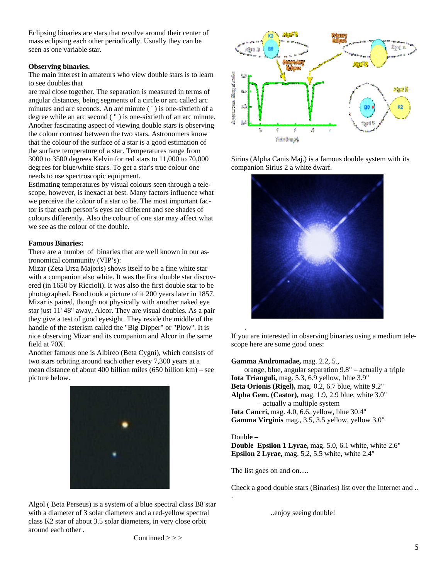Eclipsing binaries are stars that revolve around their center of mass eclipsing each other periodically. Usually they can be seen as one variable star.

#### **Observing binaries.**

The main interest in amateurs who view double stars is to learn to see doubles that

are real close together. The separation is measured in terms of angular distances, being segments of a circle or arc called arc minutes and arc seconds. An arc minute ( ' ) is one-sixtieth of a degree while an arc second ( " ) is one-sixtieth of an arc minute. Another fascinating aspect of viewing double stars is observing the colour contrast between the two stars. Astronomers know that the colour of the surface of a star is a good estimation of the surface temperature of a star. Temperatures range from 3000 to 3500 degrees Kelvin for red stars to 11,000 to 70,000 degrees for blue/white stars. To get a star's true colour one needs to use spectroscopic equipment.

Estimating temperatures by visual colours seen through a telescope, however, is inexact at best. Many factors influence what we perceive the colour of a star to be. The most important factor is that each person's eyes are different and see shades of colours differently. Also the colour of one star may affect what we see as the colour of the double.

#### **Famous Binaries:**

There are a number of binaries that are well known in our astronomical community (VIP's):

Mizar (Zeta Ursa Majoris) shows itself to be a fine white star with a companion also white. It was the first double star discovered (in 1650 by Riccioli). It was also the first double star to be photographed. Bond took a picture of it 200 years later in 1857. Mizar is paired, though not physically with another naked eye star just 11' 48" away, Alcor. They are visual doubles. As a pair they give a test of good eyesight. They reside the middle of the handle of the asterism called the "Big Dipper" or "Plow". It is nice observing Mizar and its companion and Alcor in the same field at 70X.

Another famous one is Albireo (Beta Cygni), which consists of two stars orbiting around each other every 7,300 years at a mean distance of about 400 billion miles (650 billion km) – see picture below.



Algol ( Beta Perseus) is a system of a blue spectral class B8 star with a diameter of 3 solar diameters and a red-yellow spectral class K2 star of about 3.5 solar diameters, in very close orbit around each other .



Sirius (Alpha Canis Maj.) is a famous double system with its companion Sirius 2 a white dwarf.



If you are interested in observing binaries using a medium telescope here are some good ones:

**Gamma Andromadae,** mag. 2.2, 5.,

 orange, blue, angular separation 9.8" – actually a triple **Iota Trianguli,** mag. 5.3, 6.9 yellow, blue 3.9" **Beta Orionis (Rigel),** mag. 0.2, 6.7 blue, white 9.2" **Alpha Gem. (Castor),** mag. 1.9, 2.9 blue, white 3.0" – actually a multiple system **Iota Cancri,** mag. 4.0, 6.6, yellow, blue 30.4" **Gamma Virginis** mag., 3.5, 3.5 yellow, yellow 3.0"

#### Doubl**e –**

.

**Double Epsilon 1 Lyrae,** mag. 5.0, 6.1 white, white 2.6" **Epsilon 2 Lyrae,** mag. 5.2, 5.5 white, white 2.4"

The list goes on and on….

Check a good double stars (Binaries) list over the Internet and ..

..enjoy seeing double!